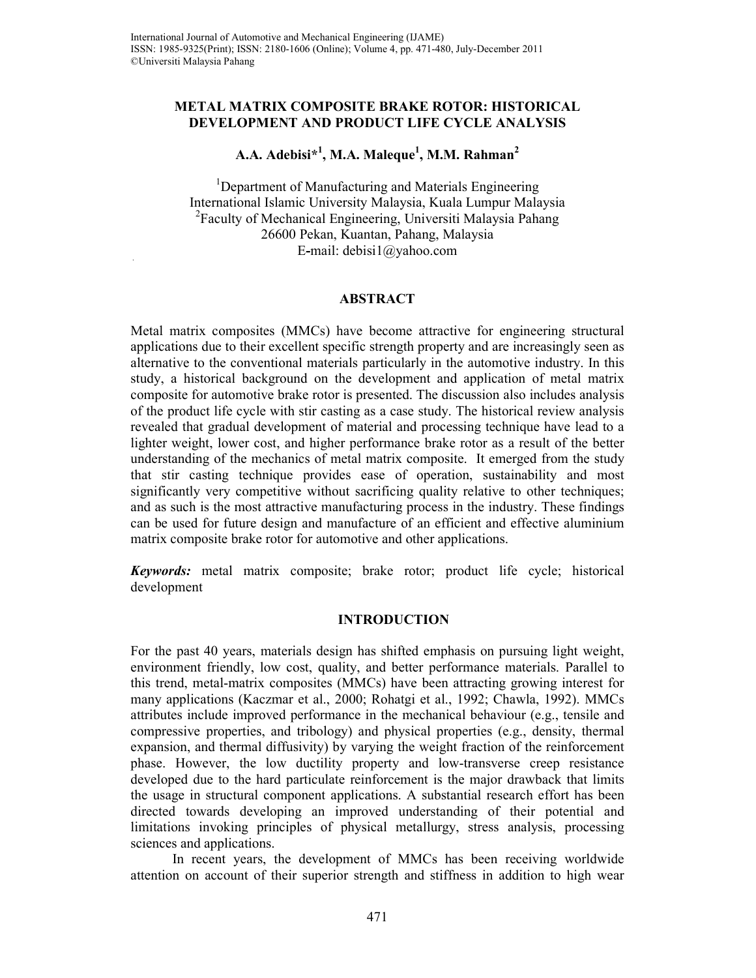#### **METAL MATRIX COMPOSITE BRAKE ROTOR: HISTORICAL DEVELOPMENT AND PRODUCT LIFE CYCLE ANALYSIS**

# **A.A. Adebisi\*<sup>1</sup> , M.A. Maleque<sup>1</sup> , M.M. Rahman<sup>2</sup>**

<sup>1</sup>Department of Manufacturing and Materials Engineering International Islamic University Malaysia, Kuala Lumpur Malaysia <sup>2</sup> Faculty of Mechanical Engineering, Universiti Malaysia Pahang 26600 Pekan, Kuantan, Pahang, Malaysia E**-**mail: debisi1@yahoo.com

### **ABSTRACT**

Metal matrix composites (MMCs) have become attractive for engineering structural applications due to their excellent specific strength property and are increasingly seen as alternative to the conventional materials particularly in the automotive industry. In this study, a historical background on the development and application of metal matrix composite for automotive brake rotor is presented. The discussion also includes analysis of the product life cycle with stir casting as a case study. The historical review analysis revealed that gradual development of material and processing technique have lead to a lighter weight, lower cost, and higher performance brake rotor as a result of the better understanding of the mechanics of metal matrix composite. It emerged from the study that stir casting technique provides ease of operation, sustainability and most significantly very competitive without sacrificing quality relative to other techniques; and as such is the most attractive manufacturing process in the industry. These findings can be used for future design and manufacture of an efficient and effective aluminium matrix composite brake rotor for automotive and other applications.

*Keywords:* metal matrix composite; brake rotor; product life cycle; historical development

#### **INTRODUCTION**

For the past 40 years, materials design has shifted emphasis on pursuing light weight, environment friendly, low cost, quality, and better performance materials. Parallel to this trend, metal-matrix composites (MMCs) have been attracting growing interest for many applications (Kaczmar et al., 2000; Rohatgi et al., 1992; Chawla, 1992). MMCs attributes include improved performance in the mechanical behaviour (e.g., tensile and compressive properties, and tribology) and physical properties (e.g., density, thermal expansion, and thermal diffusivity) by varying the weight fraction of the reinforcement phase. However, the low ductility property and low-transverse creep resistance developed due to the hard particulate reinforcement is the major drawback that limits the usage in structural component applications. A substantial research effort has been directed towards developing an improved understanding of their potential and limitations invoking principles of physical metallurgy, stress analysis, processing sciences and applications.

In recent years, the development of MMCs has been receiving worldwide attention on account of their superior strength and stiffness in addition to high wear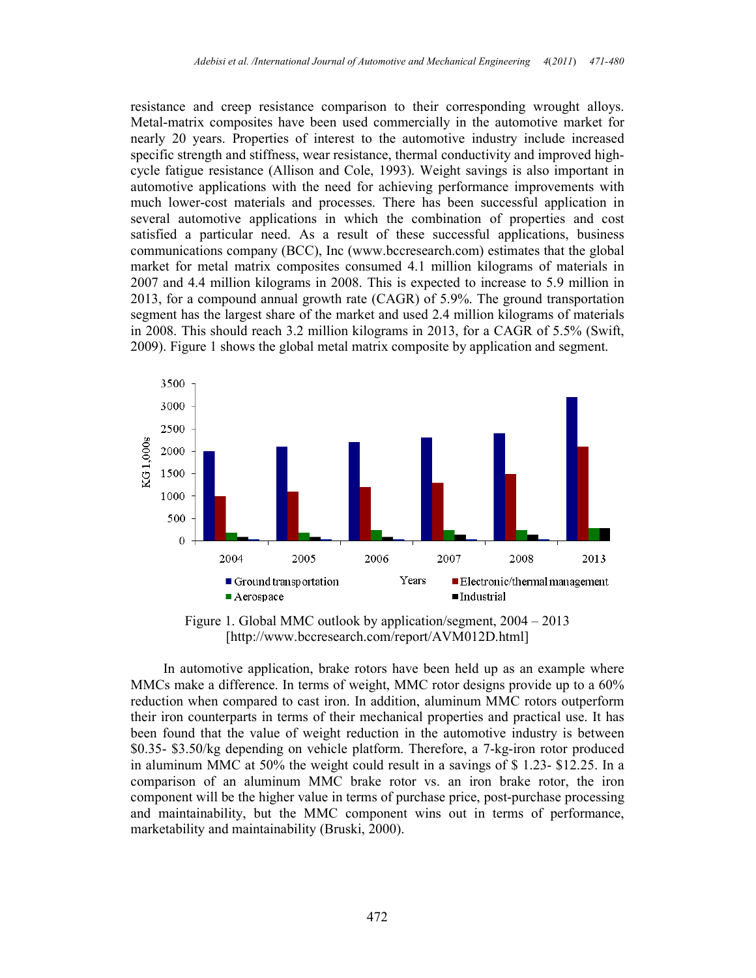resistance and creep resistance comparison to their corresponding wrought alloys. Metal-matrix composites have been used commercially in the automotive market for nearly 20 years. Properties of interest to the automotive industry include increased specific strength and stiffness, wear resistance, thermal conductivity and improved highcycle fatigue resistance (Allison and Cole, 1993). Weight savings is also important in automotive applications with the need for achieving performance improvements with much lower-cost materials and processes. There has been successful application in several automotive applications in which the combination of properties and cost satisfied a particular need. As a result of these successful applications, business communications company (BCC), Inc (www.bccresearch.com) estimates that the global market for metal matrix composites consumed 4.1 million kilograms of materials in 2007 and 4.4 million kilograms in 2008. This is expected to increase to 5.9 million in 2013, for a compound annual growth rate (CAGR) of 5.9%. The ground transportation segment has the largest share of the market and used 2.4 million kilograms of materials in 2008. This should reach 3.2 million kilograms in 2013, for a CAGR of 5.5% (Swift, 2009). Figure 1 shows the global metal matrix composite by application and segment.



Figure 1. Global MMC outlook by application/segment, 2004 – 2013 [http://www.bccresearch.com/report/AVM012D.html]

In automotive application, brake rotors have been held up as an example where MMCs make a difference. In terms of weight, MMC rotor designs provide up to a 60% reduction when compared to cast iron. In addition, aluminum MMC rotors outperform their iron counterparts in terms of their mechanical properties and practical use. It has been found that the value of weight reduction in the automotive industry is between \$0.35- \$3.50/kg depending on vehicle platform. Therefore, a 7-kg-iron rotor produced in aluminum MMC at 50% the weight could result in a savings of \$ 1.23- \$12.25. In a comparison of an aluminum MMC brake rotor vs. an iron brake rotor, the iron component will be the higher value in terms of purchase price, post-purchase processing and maintainability, but the MMC component wins out in terms of performance, marketability and maintainability (Bruski, 2000).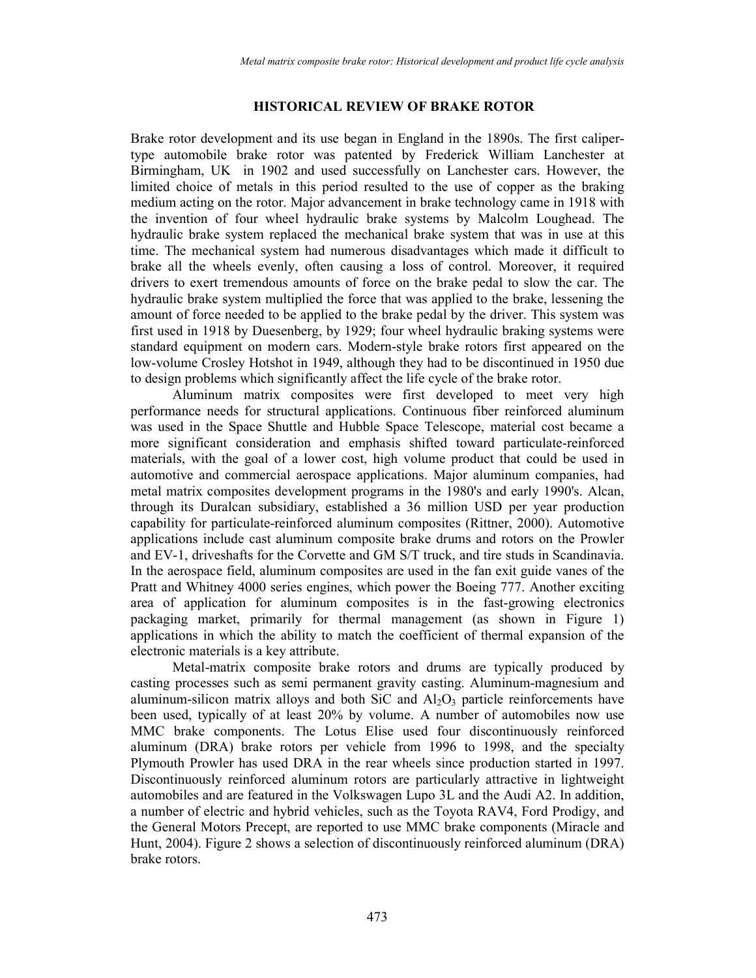#### **HISTORICAL REVIEW OF BRAKE ROTOR**

Brake rotor development and its use began in England in the 1890s. The first calipertype automobile brake rotor was patented by Frederick William Lanchester at Birmingham, UK in 1902 and used successfully on Lanchester cars. However, the limited choice of metals in this period resulted to the use of copper as the braking medium acting on the rotor. Major advancement in brake technology came in 1918 with the invention of four wheel hydraulic brake systems by Malcolm Loughead. The hydraulic brake system replaced the mechanical brake system that was in use at this time. The mechanical system had numerous disadvantages which made it difficult to brake all the wheels evenly, often causing a loss of control. Moreover, it required drivers to exert tremendous amounts of force on the brake pedal to slow the car. The hydraulic brake system multiplied the force that was applied to the brake, lessening the amount of force needed to be applied to the brake pedal by the driver. This system was first used in 1918 by Duesenberg, by 1929; four wheel hydraulic braking systems were standard equipment on modern cars. Modern-style brake rotors first appeared on the low-volume Crosley Hotshot in 1949, although they had to be discontinued in 1950 due to design problems which significantly affect the life cycle of the brake rotor.

Aluminum matrix composites were first developed to meet very high performance needs for structural applications. Continuous fiber reinforced aluminum was used in the Space Shuttle and Hubble Space Telescope, material cost became a more significant consideration and emphasis shifted toward particulate-reinforced materials, with the goal of a lower cost, high volume product that could be used in automotive and commercial aerospace applications. Major aluminum companies, had metal matrix composites development programs in the 1980's and early 1990's. Alcan, through its Duralcan subsidiary, established a 36 million USD per year production capability for particulate-reinforced aluminum composites (Rittner, 2000). Automotive applications include cast aluminum composite brake drums and rotors on the Prowler and EV-1, driveshafts for the Corvette and GM S/T truck, and tire studs in Scandinavia. In the aerospace field, aluminum composites are used in the fan exit guide vanes of the Pratt and Whitney 4000 series engines, which power the Boeing 777. Another exciting area of application for aluminum composites is in the fast-growing electronics packaging market, primarily for thermal management (as shown in Figure 1) applications in which the ability to match the coefficient of thermal expansion of the electronic materials is a key attribute.

Metal-matrix composite brake rotors and drums are typically produced by casting processes such as semi permanent gravity casting. Aluminum-magnesium and aluminum-silicon matrix alloys and both SiC and  $Al_2O_3$  particle reinforcements have been used, typically of at least 20% by volume. A number of automobiles now use MMC brake components. The Lotus Elise used four discontinuously reinforced aluminum (DRA) brake rotors per vehicle from 1996 to 1998, and the specialty Plymouth Prowler has used DRA in the rear wheels since production started in 1997. Discontinuously reinforced aluminum rotors are particularly attractive in lightweight automobiles and are featured in the Volkswagen Lupo 3L and the Audi A2. In addition, a number of electric and hybrid vehicles, such as the Toyota RAV4, Ford Prodigy, and the General Motors Precept, are reported to use MMC brake components (Miracle and Hunt, 2004). Figure 2 shows a selection of discontinuously reinforced aluminum (DRA) brake rotors.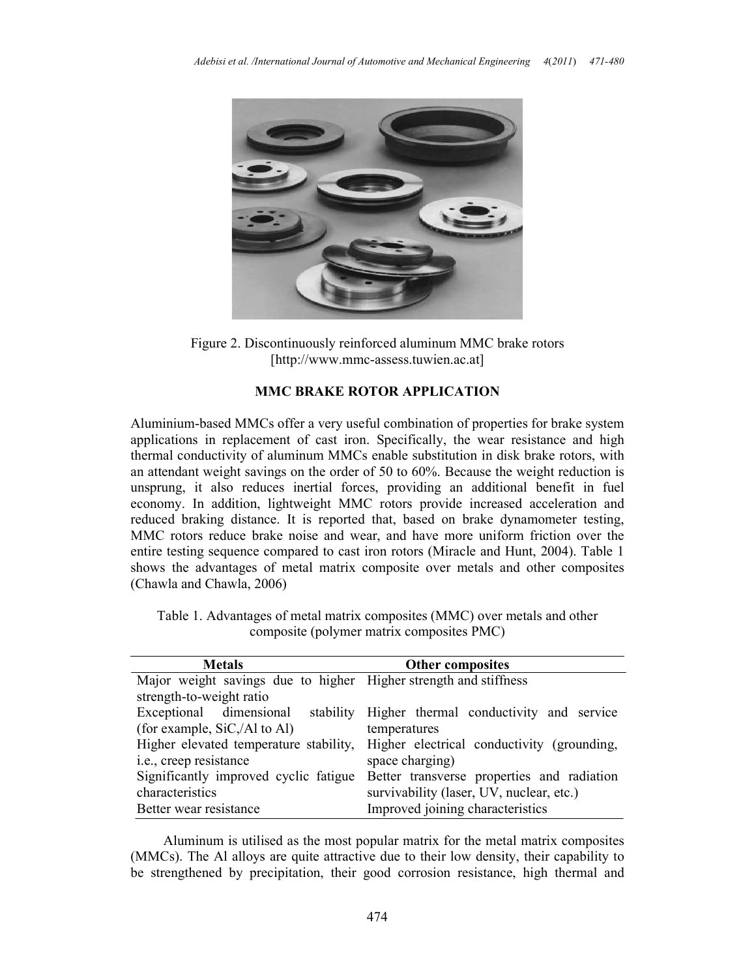

Figure 2. Discontinuously reinforced aluminum MMC brake rotors [http://www.mmc-assess.tuwien.ac.at]

### **MMC BRAKE ROTOR APPLICATION**

Aluminium-based MMCs offer a very useful combination of properties for brake system applications in replacement of cast iron. Specifically, the wear resistance and high thermal conductivity of aluminum MMCs enable substitution in disk brake rotors, with an attendant weight savings on the order of 50 to 60%. Because the weight reduction is unsprung, it also reduces inertial forces, providing an additional benefit in fuel economy. In addition, lightweight MMC rotors provide increased acceleration and reduced braking distance. It is reported that, based on brake dynamometer testing, MMC rotors reduce brake noise and wear, and have more uniform friction over the entire testing sequence compared to cast iron rotors (Miracle and Hunt, 2004). Table 1 shows the advantages of metal matrix composite over metals and other composites (Chawla and Chawla, 2006)

| Table 1. Advantages of metal matrix composites (MMC) over metals and other |
|----------------------------------------------------------------------------|
| composite (polymer matrix composites PMC)                                  |

| <b>Metals</b>                                                    | <b>Other composites</b>                    |
|------------------------------------------------------------------|--------------------------------------------|
| Major weight savings due to higher Higher strength and stiffness |                                            |
| strength-to-weight ratio                                         |                                            |
| Exceptional dimensional<br>stability                             | Higher thermal conductivity and service    |
| (for example, SiC,/Al to Al)                                     | temperatures                               |
| Higher elevated temperature stability,                           | Higher electrical conductivity (grounding, |
| i.e., creep resistance                                           | space charging)                            |
| Significantly improved cyclic fatigue                            | Better transverse properties and radiation |
| characteristics                                                  | survivability (laser, UV, nuclear, etc.)   |
| Better wear resistance                                           | Improved joining characteristics           |

Aluminum is utilised as the most popular matrix for the metal matrix composites (MMCs). The Al alloys are quite attractive due to their low density, their capability to be strengthened by precipitation, their good corrosion resistance, high thermal and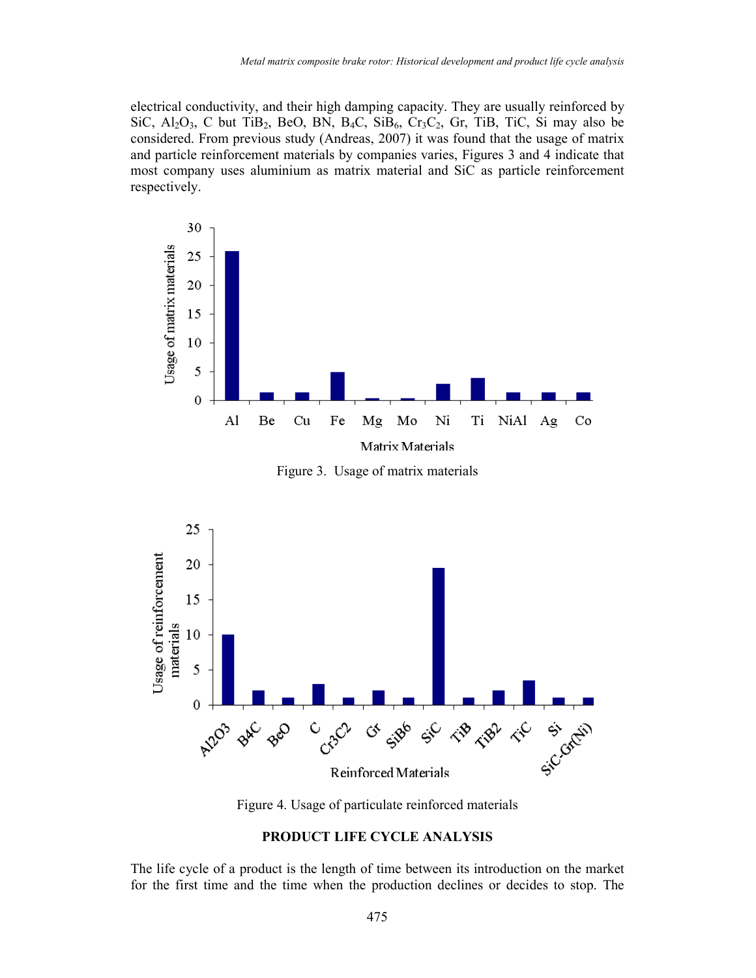electrical conductivity, and their high damping capacity. They are usually reinforced by SiC,  $Al_2O_3$ , C but TiB<sub>2</sub>, BeO, BN, B<sub>4</sub>C, SiB<sub>6</sub>, Cr<sub>3</sub>C<sub>2</sub>, Gr, TiB, TiC, Si may also be considered. From previous study (Andreas, 2007) it was found that the usage of matrix and particle reinforcement materials by companies varies, Figures 3 and 4 indicate that most company uses aluminium as matrix material and SiC as particle reinforcement respectively.



Figure 3. Usage of matrix materials



Figure 4. Usage of particulate reinforced materials

#### **PRODUCT LIFE CYCLE ANALYSIS**

The life cycle of a product is the length of time between its introduction on the market for the first time and the time when the production declines or decides to stop. The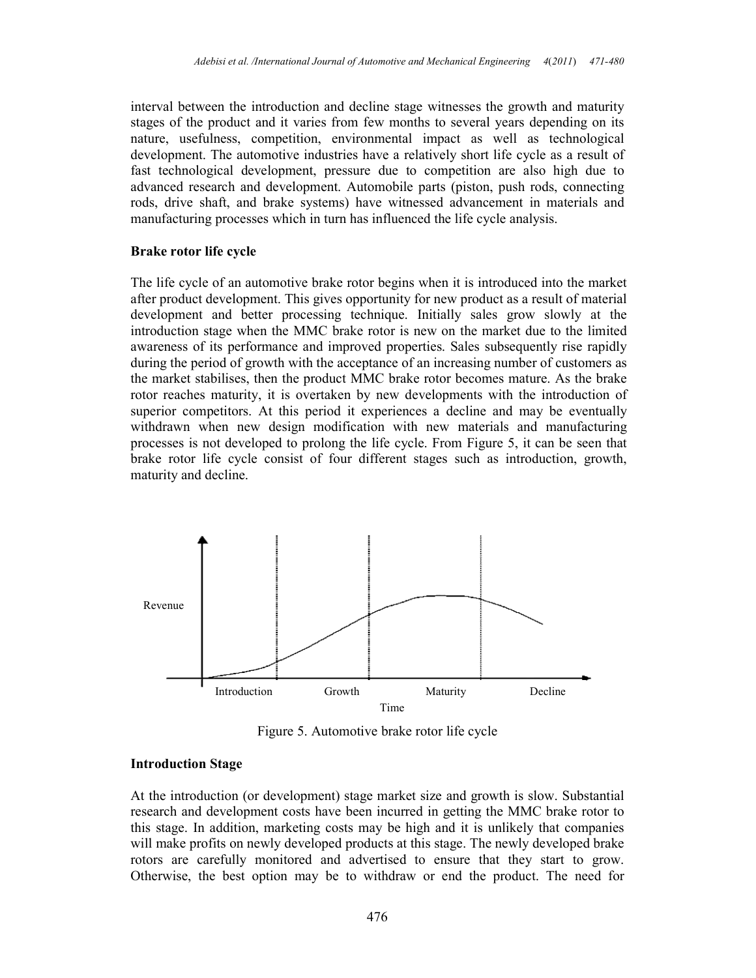interval between the introduction and decline stage witnesses the growth and maturity stages of the product and it varies from few months to several years depending on its nature, usefulness, competition, environmental impact as well as technological development. The automotive industries have a relatively short life cycle as a result of fast technological development, pressure due to competition are also high due to advanced research and development. Automobile parts (piston, push rods, connecting rods, drive shaft, and brake systems) have witnessed advancement in materials and manufacturing processes which in turn has influenced the life cycle analysis.

### **Brake rotor life cycle**

The life cycle of an automotive brake rotor begins when it is introduced into the market after product development. This gives opportunity for new product as a result of material development and better processing technique. Initially sales grow slowly at the introduction stage when the MMC brake rotor is new on the market due to the limited awareness of its performance and improved properties. Sales subsequently rise rapidly during the period of growth with the acceptance of an increasing number of customers as the market stabilises, then the product MMC brake rotor becomes mature. As the brake rotor reaches maturity, it is overtaken by new developments with the introduction of superior competitors. At this period it experiences a decline and may be eventually withdrawn when new design modification with new materials and manufacturing processes is not developed to prolong the life cycle. From Figure 5, it can be seen that brake rotor life cycle consist of four different stages such as introduction, growth, maturity and decline.



Figure 5. Automotive brake rotor life cycle

### **Introduction Stage**

At the introduction (or development) stage market size and growth is slow. Substantial research and development costs have been incurred in getting the MMC brake rotor to this stage. In addition, marketing costs may be high and it is unlikely that companies will make profits on newly developed products at this stage. The newly developed brake rotors are carefully monitored and advertised to ensure that they start to grow. Otherwise, the best option may be to withdraw or end the product. The need for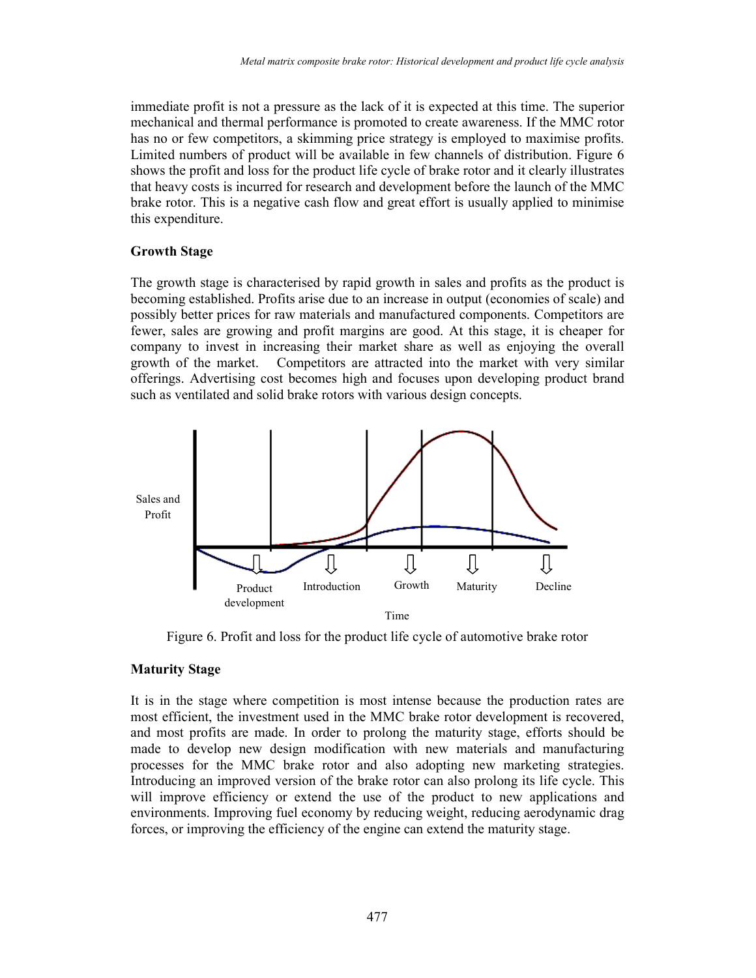immediate profit is not a pressure as the lack of it is expected at this time. The superior mechanical and thermal performance is promoted to create awareness. If the MMC rotor has no or few competitors, a skimming price strategy is employed to maximise profits. Limited numbers of product will be available in few channels of distribution. Figure 6 shows the profit and loss for the product life cycle of brake rotor and it clearly illustrates that heavy costs is incurred for research and development before the launch of the MMC brake rotor. This is a negative cash flow and great effort is usually applied to minimise this expenditure.

## **Growth Stage**

The growth stage is characterised by rapid growth in sales and profits as the product is becoming established. Profits arise due to an increase in output (economies of scale) and possibly better prices for raw materials and manufactured components. Competitors are fewer, sales are growing and profit margins are good. At this stage, it is cheaper for company to invest in increasing their market share as well as enjoying the overall growth of the market. Competitors are attracted into the market with very similar offerings. Advertising cost becomes high and focuses upon developing product brand such as ventilated and solid brake rotors with various design concepts.



Figure 6. Profit and loss for the product life cycle of automotive brake rotor

## **Maturity Stage**

It is in the stage where competition is most intense because the production rates are most efficient, the investment used in the MMC brake rotor development is recovered, and most profits are made. In order to prolong the maturity stage, efforts should be made to develop new design modification with new materials and manufacturing processes for the MMC brake rotor and also adopting new marketing strategies. Introducing an improved version of the brake rotor can also prolong its life cycle. This will improve efficiency or extend the use of the product to new applications and environments. Improving fuel economy by reducing weight, reducing aerodynamic drag forces, or improving the efficiency of the engine can extend the maturity stage.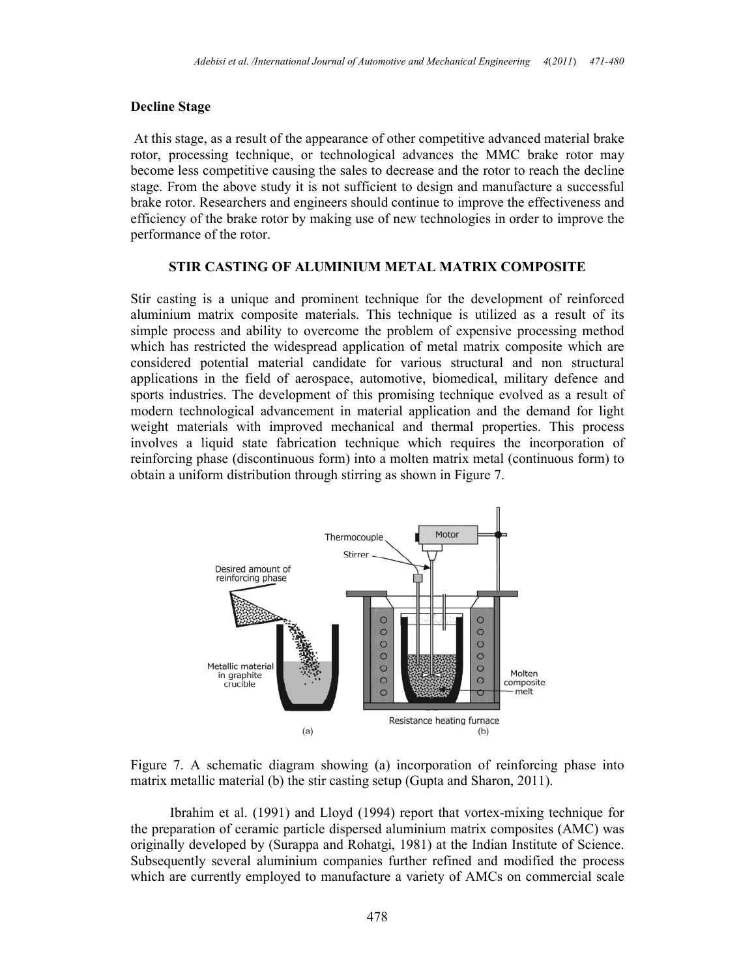#### **Decline Stage**

 At this stage, as a result of the appearance of other competitive advanced material brake rotor, processing technique, or technological advances the MMC brake rotor may become less competitive causing the sales to decrease and the rotor to reach the decline stage. From the above study it is not sufficient to design and manufacture a successful brake rotor. Researchers and engineers should continue to improve the effectiveness and efficiency of the brake rotor by making use of new technologies in order to improve the performance of the rotor.

#### **STIR CASTING OF ALUMINIUM METAL MATRIX COMPOSITE**

Stir casting is a unique and prominent technique for the development of reinforced aluminium matrix composite materials. This technique is utilized as a result of its simple process and ability to overcome the problem of expensive processing method which has restricted the widespread application of metal matrix composite which are considered potential material candidate for various structural and non structural applications in the field of aerospace, automotive, biomedical, military defence and sports industries. The development of this promising technique evolved as a result of modern technological advancement in material application and the demand for light weight materials with improved mechanical and thermal properties. This process involves a liquid state fabrication technique which requires the incorporation of reinforcing phase (discontinuous form) into a molten matrix metal (continuous form) to obtain a uniform distribution through stirring as shown in Figure 7.



Figure 7. A schematic diagram showing (a) incorporation of reinforcing phase into matrix metallic material (b) the stir casting setup (Gupta and Sharon, 2011).

Ibrahim et al. (1991) and Lloyd (1994) report that vortex-mixing technique for the preparation of ceramic particle dispersed aluminium matrix composites (AMC) was originally developed by (Surappa and Rohatgi, 1981) at the Indian Institute of Science. Subsequently several aluminium companies further refined and modified the process which are currently employed to manufacture a variety of AMCs on commercial scale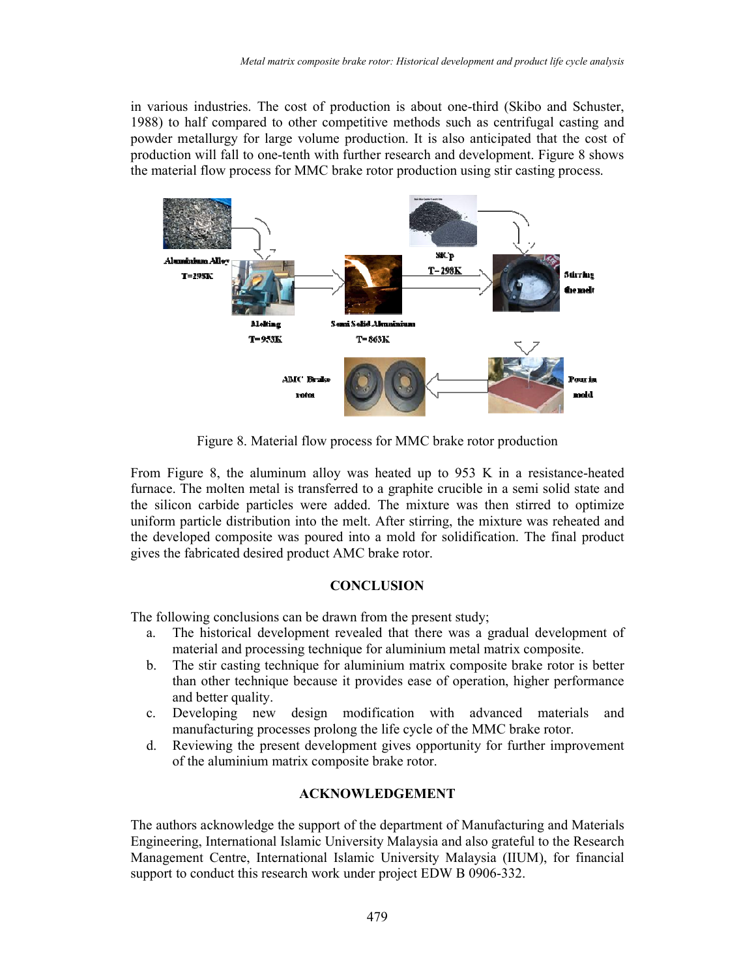in various industries. The cost of production is about one-third (Skibo and Schuster, 1988) to half compared to other competitive methods such as centrifugal casting and powder metallurgy for large volume production. It is also anticipated that the cost of production will fall to one-tenth with further research and development. Figure 8 shows the material flow process for MMC brake rotor production using stir casting process.



Figure 8. Material flow process for MMC brake rotor production

From Figure 8, the aluminum alloy was heated up to 953 K in a resistance-heated furnace. The molten metal is transferred to a graphite crucible in a semi solid state and the silicon carbide particles were added. The mixture was then stirred to optimize uniform particle distribution into the melt. After stirring, the mixture was reheated and the developed composite was poured into a mold for solidification. The final product gives the fabricated desired product AMC brake rotor.

#### **CONCLUSION**

The following conclusions can be drawn from the present study;

- a. The historical development revealed that there was a gradual development of material and processing technique for aluminium metal matrix composite.
- b. The stir casting technique for aluminium matrix composite brake rotor is better than other technique because it provides ease of operation, higher performance and better quality.
- c. Developing new design modification with advanced materials and manufacturing processes prolong the life cycle of the MMC brake rotor.
- d. Reviewing the present development gives opportunity for further improvement of the aluminium matrix composite brake rotor.

### **ACKNOWLEDGEMENT**

The authors acknowledge the support of the department of Manufacturing and Materials Engineering, International Islamic University Malaysia and also grateful to the Research Management Centre, International Islamic University Malaysia (IIUM), for financial support to conduct this research work under project EDW B 0906-332.